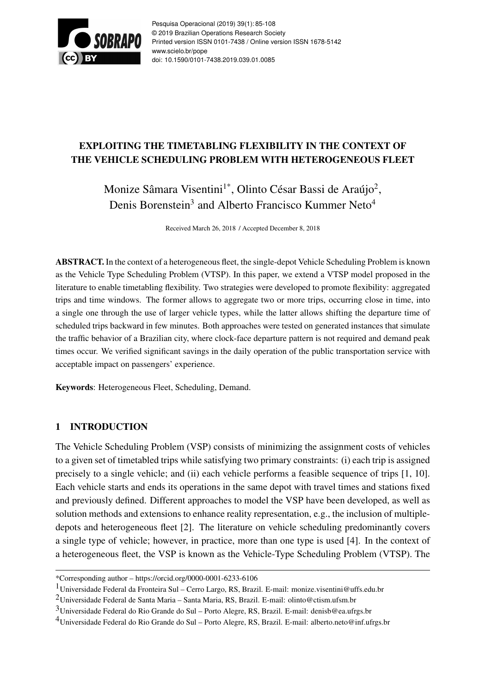

Pesquisa Operacional (2019) 39(1): 85-108 © 2019 Brazilian Operations Research Society Printed version ISSN 0101-7438 / Online version ISSN 1678-5142 www.scielo.br/pope doi: 10.1590/0101-7438.2019.039.01.0085

# EXPLOITING THE TIMETABLING FLEXIBILITY IN THE CONTEXT OF THE VEHICLE SCHEDULING PROBLEM WITH HETEROGENEOUS FLEET

Monize Sâmara Visentini<sup>1\*</sup>, Olinto César Bassi de Araújo<sup>2</sup>, Denis Borenstein<sup>3</sup> and Alberto Francisco Kummer Neto<sup>4</sup>

Received March 26, 2018 / Accepted December 8, 2018

ABSTRACT. In the context of a heterogeneous fleet, the single-depot Vehicle Scheduling Problem is known as the Vehicle Type Scheduling Problem (VTSP). In this paper, we extend a VTSP model proposed in the literature to enable timetabling flexibility. Two strategies were developed to promote flexibility: aggregated trips and time windows. The former allows to aggregate two or more trips, occurring close in time, into a single one through the use of larger vehicle types, while the latter allows shifting the departure time of scheduled trips backward in few minutes. Both approaches were tested on generated instances that simulate the traffic behavior of a Brazilian city, where clock-face departure pattern is not required and demand peak times occur. We verified significant savings in the daily operation of the public transportation service with acceptable impact on passengers' experience.

Keywords: Heterogeneous Fleet, Scheduling, Demand.

# 1 INTRODUCTION

The Vehicle Scheduling Problem (VSP) consists of minimizing the assignment costs of vehicles to a given set of timetabled trips while satisfying two primary constraints: (i) each trip is assigned precisely to a single vehicle; and (ii) each vehicle performs a feasible sequence of trips [1, 10]. Each vehicle starts and ends its operations in the same depot with travel times and stations fixed and previously defined. Different approaches to model the VSP have been developed, as well as solution methods and extensions to enhance reality representation, e.g., the inclusion of multipledepots and heterogeneous fleet [2]. The literature on vehicle scheduling predominantly covers a single type of vehicle; however, in practice, more than one type is used [4]. In the context of a heterogeneous fleet, the VSP is known as the Vehicle-Type Scheduling Problem (VTSP). The

<sup>\*</sup>Corresponding author – https://orcid.org/0000-0001-6233-6106

<sup>1</sup>Universidade Federal da Fronteira Sul – Cerro Largo, RS, Brazil. E-mail: monize.visentini@uffs.edu.br

<sup>2</sup>Universidade Federal de Santa Maria – Santa Maria, RS, Brazil. E-mail: olinto@ctism.ufsm.br

<sup>3</sup>Universidade Federal do Rio Grande do Sul – Porto Alegre, RS, Brazil. E-mail: denisb@ea.ufrgs.br

<sup>4</sup>Universidade Federal do Rio Grande do Sul – Porto Alegre, RS, Brazil. E-mail: alberto.neto@inf.ufrgs.br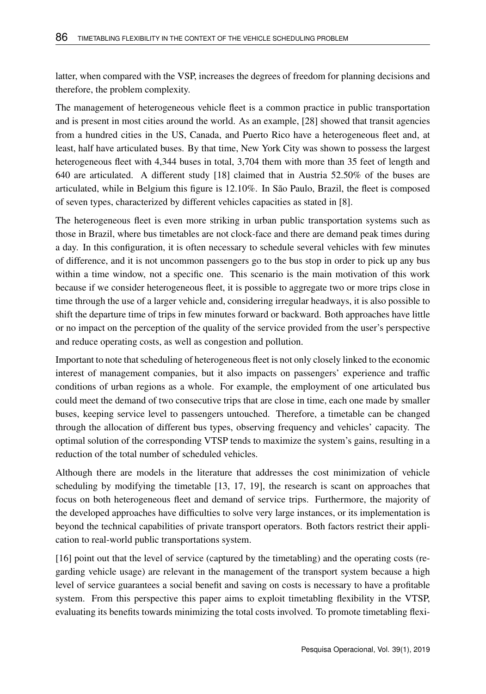latter, when compared with the VSP, increases the degrees of freedom for planning decisions and therefore, the problem complexity.

The management of heterogeneous vehicle fleet is a common practice in public transportation and is present in most cities around the world. As an example, [28] showed that transit agencies from a hundred cities in the US, Canada, and Puerto Rico have a heterogeneous fleet and, at least, half have articulated buses. By that time, New York City was shown to possess the largest heterogeneous fleet with 4,344 buses in total, 3,704 them with more than 35 feet of length and 640 are articulated. A different study [18] claimed that in Austria 52.50% of the buses are articulated, while in Belgium this figure is 12.10%. In São Paulo, Brazil, the fleet is composed of seven types, characterized by different vehicles capacities as stated in [8].

The heterogeneous fleet is even more striking in urban public transportation systems such as those in Brazil, where bus timetables are not clock-face and there are demand peak times during a day. In this configuration, it is often necessary to schedule several vehicles with few minutes of difference, and it is not uncommon passengers go to the bus stop in order to pick up any bus within a time window, not a specific one. This scenario is the main motivation of this work because if we consider heterogeneous fleet, it is possible to aggregate two or more trips close in time through the use of a larger vehicle and, considering irregular headways, it is also possible to shift the departure time of trips in few minutes forward or backward. Both approaches have little or no impact on the perception of the quality of the service provided from the user's perspective and reduce operating costs, as well as congestion and pollution.

Important to note that scheduling of heterogeneous fleet is not only closely linked to the economic interest of management companies, but it also impacts on passengers' experience and traffic conditions of urban regions as a whole. For example, the employment of one articulated bus could meet the demand of two consecutive trips that are close in time, each one made by smaller buses, keeping service level to passengers untouched. Therefore, a timetable can be changed through the allocation of different bus types, observing frequency and vehicles' capacity. The optimal solution of the corresponding VTSP tends to maximize the system's gains, resulting in a reduction of the total number of scheduled vehicles.

Although there are models in the literature that addresses the cost minimization of vehicle scheduling by modifying the timetable [13, 17, 19], the research is scant on approaches that focus on both heterogeneous fleet and demand of service trips. Furthermore, the majority of the developed approaches have difficulties to solve very large instances, or its implementation is beyond the technical capabilities of private transport operators. Both factors restrict their application to real-world public transportations system.

[16] point out that the level of service (captured by the timetabling) and the operating costs (regarding vehicle usage) are relevant in the management of the transport system because a high level of service guarantees a social benefit and saving on costs is necessary to have a profitable system. From this perspective this paper aims to exploit timetabling flexibility in the VTSP, evaluating its benefits towards minimizing the total costs involved. To promote timetabling flexi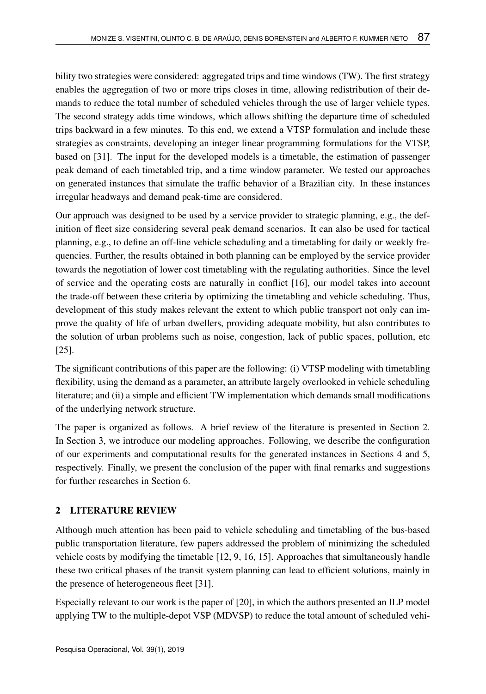bility two strategies were considered: aggregated trips and time windows (TW). The first strategy enables the aggregation of two or more trips closes in time, allowing redistribution of their demands to reduce the total number of scheduled vehicles through the use of larger vehicle types. The second strategy adds time windows, which allows shifting the departure time of scheduled trips backward in a few minutes. To this end, we extend a VTSP formulation and include these strategies as constraints, developing an integer linear programming formulations for the VTSP, based on [31]. The input for the developed models is a timetable, the estimation of passenger peak demand of each timetabled trip, and a time window parameter. We tested our approaches on generated instances that simulate the traffic behavior of a Brazilian city. In these instances irregular headways and demand peak-time are considered.

Our approach was designed to be used by a service provider to strategic planning, e.g., the definition of fleet size considering several peak demand scenarios. It can also be used for tactical planning, e.g., to define an off-line vehicle scheduling and a timetabling for daily or weekly frequencies. Further, the results obtained in both planning can be employed by the service provider towards the negotiation of lower cost timetabling with the regulating authorities. Since the level of service and the operating costs are naturally in conflict [16], our model takes into account the trade-off between these criteria by optimizing the timetabling and vehicle scheduling. Thus, development of this study makes relevant the extent to which public transport not only can improve the quality of life of urban dwellers, providing adequate mobility, but also contributes to the solution of urban problems such as noise, congestion, lack of public spaces, pollution, etc [25].

The significant contributions of this paper are the following: (i) VTSP modeling with timetabling flexibility, using the demand as a parameter, an attribute largely overlooked in vehicle scheduling literature; and (ii) a simple and efficient TW implementation which demands small modifications of the underlying network structure.

The paper is organized as follows. A brief review of the literature is presented in Section 2. In Section 3, we introduce our modeling approaches. Following, we describe the configuration of our experiments and computational results for the generated instances in Sections 4 and 5, respectively. Finally, we present the conclusion of the paper with final remarks and suggestions for further researches in Section 6.

# 2 LITERATURE REVIEW

Although much attention has been paid to vehicle scheduling and timetabling of the bus-based public transportation literature, few papers addressed the problem of minimizing the scheduled vehicle costs by modifying the timetable [12, 9, 16, 15]. Approaches that simultaneously handle these two critical phases of the transit system planning can lead to efficient solutions, mainly in the presence of heterogeneous fleet [31].

Especially relevant to our work is the paper of [20], in which the authors presented an ILP model applying TW to the multiple-depot VSP (MDVSP) to reduce the total amount of scheduled vehi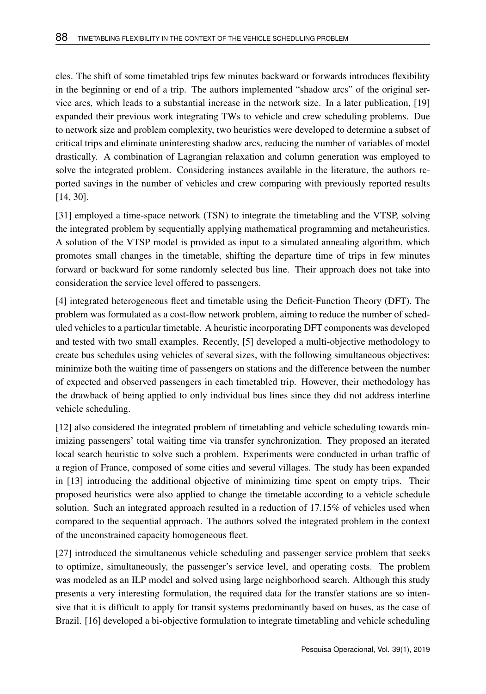cles. The shift of some timetabled trips few minutes backward or forwards introduces flexibility in the beginning or end of a trip. The authors implemented "shadow arcs" of the original service arcs, which leads to a substantial increase in the network size. In a later publication, [19] expanded their previous work integrating TWs to vehicle and crew scheduling problems. Due to network size and problem complexity, two heuristics were developed to determine a subset of critical trips and eliminate uninteresting shadow arcs, reducing the number of variables of model drastically. A combination of Lagrangian relaxation and column generation was employed to solve the integrated problem. Considering instances available in the literature, the authors reported savings in the number of vehicles and crew comparing with previously reported results [14, 30].

[31] employed a time-space network (TSN) to integrate the timetabling and the VTSP, solving the integrated problem by sequentially applying mathematical programming and metaheuristics. A solution of the VTSP model is provided as input to a simulated annealing algorithm, which promotes small changes in the timetable, shifting the departure time of trips in few minutes forward or backward for some randomly selected bus line. Their approach does not take into consideration the service level offered to passengers.

[4] integrated heterogeneous fleet and timetable using the Deficit-Function Theory (DFT). The problem was formulated as a cost-flow network problem, aiming to reduce the number of scheduled vehicles to a particular timetable. A heuristic incorporating DFT components was developed and tested with two small examples. Recently, [5] developed a multi-objective methodology to create bus schedules using vehicles of several sizes, with the following simultaneous objectives: minimize both the waiting time of passengers on stations and the difference between the number of expected and observed passengers in each timetabled trip. However, their methodology has the drawback of being applied to only individual bus lines since they did not address interline vehicle scheduling.

[12] also considered the integrated problem of timetabling and vehicle scheduling towards minimizing passengers' total waiting time via transfer synchronization. They proposed an iterated local search heuristic to solve such a problem. Experiments were conducted in urban traffic of a region of France, composed of some cities and several villages. The study has been expanded in [13] introducing the additional objective of minimizing time spent on empty trips. Their proposed heuristics were also applied to change the timetable according to a vehicle schedule solution. Such an integrated approach resulted in a reduction of 17.15% of vehicles used when compared to the sequential approach. The authors solved the integrated problem in the context of the unconstrained capacity homogeneous fleet.

[27] introduced the simultaneous vehicle scheduling and passenger service problem that seeks to optimize, simultaneously, the passenger's service level, and operating costs. The problem was modeled as an ILP model and solved using large neighborhood search. Although this study presents a very interesting formulation, the required data for the transfer stations are so intensive that it is difficult to apply for transit systems predominantly based on buses, as the case of Brazil. [16] developed a bi-objective formulation to integrate timetabling and vehicle scheduling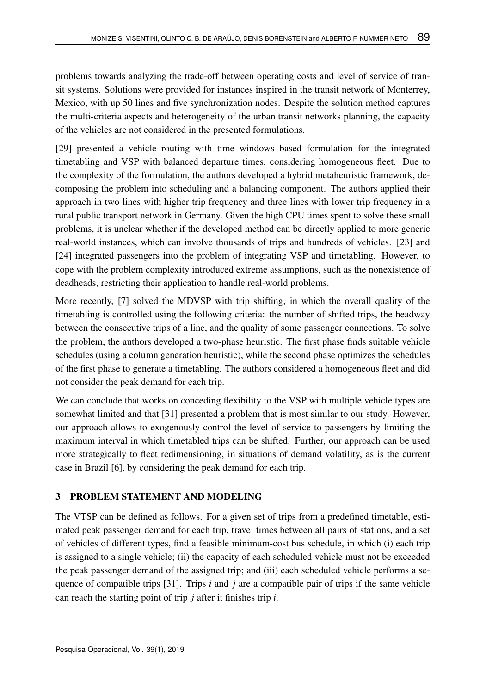problems towards analyzing the trade-off between operating costs and level of service of transit systems. Solutions were provided for instances inspired in the transit network of Monterrey, Mexico, with up 50 lines and five synchronization nodes. Despite the solution method captures the multi-criteria aspects and heterogeneity of the urban transit networks planning, the capacity of the vehicles are not considered in the presented formulations.

[29] presented a vehicle routing with time windows based formulation for the integrated timetabling and VSP with balanced departure times, considering homogeneous fleet. Due to the complexity of the formulation, the authors developed a hybrid metaheuristic framework, decomposing the problem into scheduling and a balancing component. The authors applied their approach in two lines with higher trip frequency and three lines with lower trip frequency in a rural public transport network in Germany. Given the high CPU times spent to solve these small problems, it is unclear whether if the developed method can be directly applied to more generic real-world instances, which can involve thousands of trips and hundreds of vehicles. [23] and [24] integrated passengers into the problem of integrating VSP and timetabling. However, to cope with the problem complexity introduced extreme assumptions, such as the nonexistence of deadheads, restricting their application to handle real-world problems.

More recently, [7] solved the MDVSP with trip shifting, in which the overall quality of the timetabling is controlled using the following criteria: the number of shifted trips, the headway between the consecutive trips of a line, and the quality of some passenger connections. To solve the problem, the authors developed a two-phase heuristic. The first phase finds suitable vehicle schedules (using a column generation heuristic), while the second phase optimizes the schedules of the first phase to generate a timetabling. The authors considered a homogeneous fleet and did not consider the peak demand for each trip.

We can conclude that works on conceding flexibility to the VSP with multiple vehicle types are somewhat limited and that [31] presented a problem that is most similar to our study. However, our approach allows to exogenously control the level of service to passengers by limiting the maximum interval in which timetabled trips can be shifted. Further, our approach can be used more strategically to fleet redimensioning, in situations of demand volatility, as is the current case in Brazil [6], by considering the peak demand for each trip.

# 3 PROBLEM STATEMENT AND MODELING

The VTSP can be defined as follows. For a given set of trips from a predefined timetable, estimated peak passenger demand for each trip, travel times between all pairs of stations, and a set of vehicles of different types, find a feasible minimum-cost bus schedule, in which (i) each trip is assigned to a single vehicle; (ii) the capacity of each scheduled vehicle must not be exceeded the peak passenger demand of the assigned trip; and (iii) each scheduled vehicle performs a sequence of compatible trips  $[31]$ . Trips *i* and *j* are a compatible pair of trips if the same vehicle can reach the starting point of trip *j* after it finishes trip *i*.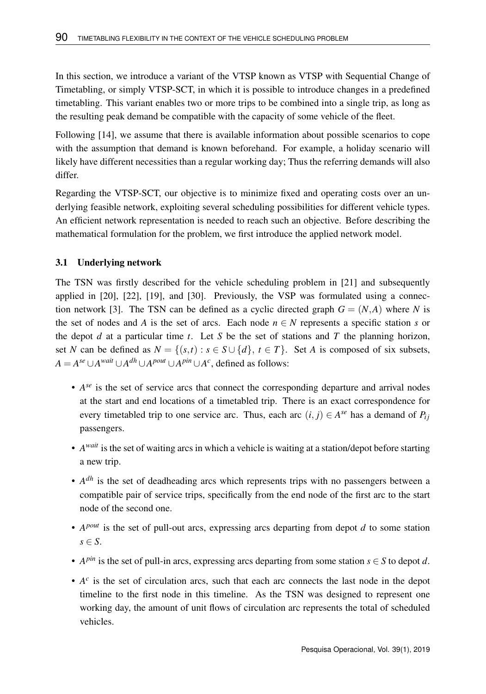In this section, we introduce a variant of the VTSP known as VTSP with Sequential Change of Timetabling, or simply VTSP-SCT, in which it is possible to introduce changes in a predefined timetabling. This variant enables two or more trips to be combined into a single trip, as long as the resulting peak demand be compatible with the capacity of some vehicle of the fleet.

Following [14], we assume that there is available information about possible scenarios to cope with the assumption that demand is known beforehand. For example, a holiday scenario will likely have different necessities than a regular working day; Thus the referring demands will also differ.

Regarding the VTSP-SCT, our objective is to minimize fixed and operating costs over an underlying feasible network, exploiting several scheduling possibilities for different vehicle types. An efficient network representation is needed to reach such an objective. Before describing the mathematical formulation for the problem, we first introduce the applied network model.

## 3.1 Underlying network

The TSN was firstly described for the vehicle scheduling problem in [21] and subsequently applied in [20], [22], [19], and [30]. Previously, the VSP was formulated using a connection network [3]. The TSN can be defined as a cyclic directed graph  $G = (N, A)$  where N is the set of nodes and *A* is the set of arcs. Each node  $n \in N$  represents a specific station *s* or the depot *d* at a particular time *t*. Let *S* be the set of stations and *T* the planning horizon, set *N* can be defined as  $N = \{(s,t) : s \in S \cup \{d\}, t \in T\}$ . Set *A* is composed of six subsets, *A* = *A*<sup>*se*</sup> ∪*A*<sup>*wait*</sup> ∪*A*<sup>*dh*</sup> ∪*A*<sup>*pout*</sup> ∪*A*<sup>*pin*</sup> ∪*A<sup><i>c*</sup>, defined as follows:

- $A^{se}$  is the set of service arcs that connect the corresponding departure and arrival nodes at the start and end locations of a timetabled trip. There is an exact correspondence for every timetabled trip to one service arc. Thus, each arc  $(i, j) \in A^{se}$  has a demand of  $P_{ij}$ passengers.
- *A wait* is the set of waiting arcs in which a vehicle is waiting at a station/depot before starting a new trip.
- $A^{dh}$  is the set of deadheading arcs which represents trips with no passengers between a compatible pair of service trips, specifically from the end node of the first arc to the start node of the second one.
- *A pout* is the set of pull-out arcs, expressing arcs departing from depot *d* to some station *s* ∈ *S*.
- $A^{pin}$  is the set of pull-in arcs, expressing arcs departing from some station  $s \in S$  to depot *d*.
- $\bullet$   $A^c$  is the set of circulation arcs, such that each arc connects the last node in the depot timeline to the first node in this timeline. As the TSN was designed to represent one working day, the amount of unit flows of circulation arc represents the total of scheduled vehicles.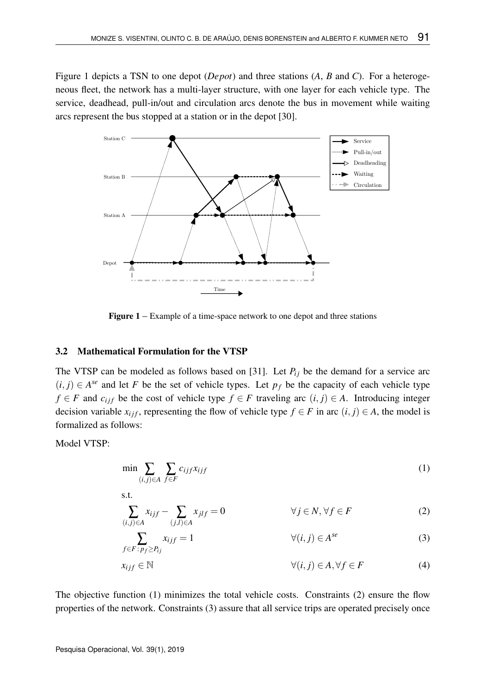Figure 1 depicts a TSN to one depot (*Depot*) and three stations (*A*, *B* and *C*). For a heterogeneous fleet, the network has a multi-layer structure, with one layer for each vehicle type. The service, deadhead, pull-in/out and circulation arcs denote the bus in movement while waiting arcs represent the bus stopped at a station or in the depot [30].



Figure 1 – Example of a time-space network to one depot and three stations

#### 3.2 Mathematical Formulation for the VTSP

The VTSP can be modeled as follows based on [31]. Let  $P_i$  be the demand for a service arc  $(i, j) \in A^{se}$  and let *F* be the set of vehicle types. Let  $p_f$  be the capacity of each vehicle type *f* ∈ *F* and *c*<sub>*i*</sub> *f* be the cost of vehicle type *f* ∈ *F* traveling arc  $(i, j)$  ∈ *A*. Introducing integer decision variable  $x_{i j f}$ , representing the flow of vehicle type  $f \in F$  in arc  $(i, j) \in A$ , the model is formalized as follows:

Model VTSP:

$$
\min \sum_{(i,j)\in A} \sum_{f\in F} c_{ijf} x_{ijf} \tag{1}
$$

s.t.  
\n
$$
\sum_{(i,j)\in A} x_{ijf} - \sum_{(j,l)\in A} x_{jlf} = 0 \qquad \forall j \in N, \forall f \in F
$$
\n(2)

$$
\sum_{f \in F: p_f \ge P_{ij}} x_{ijf} = 1 \qquad \forall (i, j) \in A^{se} \qquad (3)
$$

$$
x_{ijf} \in \mathbb{N} \qquad \qquad \forall (i,j) \in A, \forall f \in F \tag{4}
$$

The objective function (1) minimizes the total vehicle costs. Constraints (2) ensure the flow properties of the network. Constraints (3) assure that all service trips are operated precisely once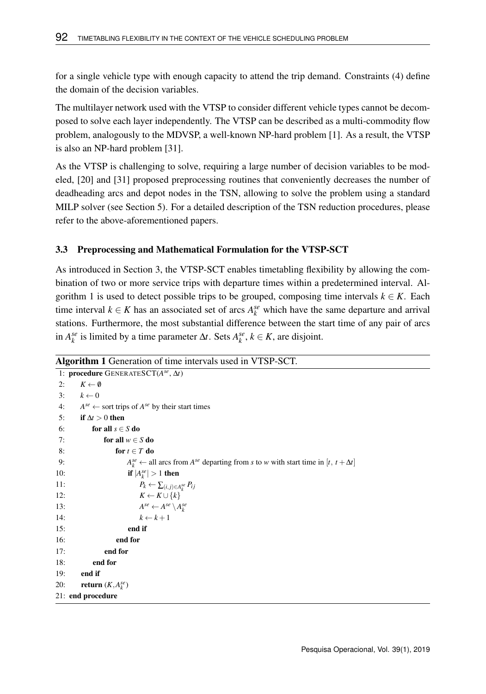for a single vehicle type with enough capacity to attend the trip demand. Constraints (4) define the domain of the decision variables.

The multilayer network used with the VTSP to consider different vehicle types cannot be decomposed to solve each layer independently. The VTSP can be described as a multi-commodity flow problem, analogously to the MDVSP, a well-known NP-hard problem [1]. As a result, the VTSP is also an NP-hard problem [31].

As the VTSP is challenging to solve, requiring a large number of decision variables to be modeled, [20] and [31] proposed preprocessing routines that conveniently decreases the number of deadheading arcs and depot nodes in the TSN, allowing to solve the problem using a standard MILP solver (see Section 5). For a detailed description of the TSN reduction procedures, please refer to the above-aforementioned papers.

## 3.3 Preprocessing and Mathematical Formulation for the VTSP-SCT

As introduced in Section 3, the VTSP-SCT enables timetabling flexibility by allowing the combination of two or more service trips with departure times within a predetermined interval. Algorithm 1 is used to detect possible trips to be grouped, composing time intervals  $k \in K$ . Each time interval  $k \in K$  has an associated set of arcs  $A_k^{se}$  which have the same departure and arrival stations. Furthermore, the most substantial difference between the start time of any pair of arcs in  $A_k^{se}$  is limited by a time parameter  $\Delta t$ . Sets  $A_k^{se}$ ,  $k \in K$ , are disjoint.

```
Algorithm 1 Generation of time intervals used in VTSP-SCT.
```

```
1: procedure GENERATESCT(A
se
, ∆t)
2: K \leftarrow \emptyset<br>3: k \leftarrow 03: k \leftarrow 0<br>4: A^{se} \leftarrow4: A^{se} \leftarrow sort trips of A^{se} by their start times
5: if ∆t > 0 then
6: for all s \in S do
7: for all w \in S do
8: for t \in T do
 9: A
                       s^e \leftarrow all arcs from A<sup>se</sup> departing from s to w with start time in [t, t + ∆t]
10: if |A_k^{se}| > 1 then
11: P_k \leftarrow \sum_{(i,j)\in A_k^{se}} P_{ij}12: K \leftarrow K \cup \{k\}13: A
                           A^{se} \leftarrow A^{se} \setminus A^{se}_k14: k \leftarrow k+115: end if
16: end for
17: end for
18: end for
19: end if
20: return (K, A_k^{se})21: end procedure
```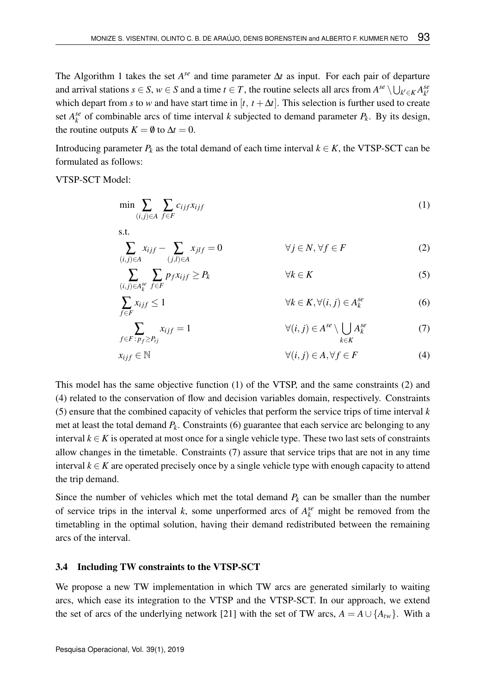The Algorithm 1 takes the set  $A^{se}$  and time parameter  $\Delta t$  as input. For each pair of departure and arrival stations  $s \in S$ ,  $w \in S$  and a time  $t \in T$ , the routine selects all arcs from  $A^{se} \setminus \bigcup_{k' \in K} A^{se}_{k'}$ which depart from *s* to *w* and have start time in  $[t, t + \Delta t]$ . This selection is further used to create set  $A_k^{se}$  of combinable arcs of time interval *k* subjected to demand parameter  $P_k$ . By its design, the routine outputs  $K = \emptyset$  to  $\Delta t = 0$ .

Introducing parameter  $P_k$  as the total demand of each time interval  $k \in K$ , the VTSP-SCT can be formulated as follows:

VTSP-SCT Model:

s.t.

$$
\min \sum_{(i,j)\in A} \sum_{f\in F} c_{ijf} x_{ijf} \tag{1}
$$

$$
\sum_{(i,j)\in A} x_{ijf} - \sum_{(j,l)\in A} x_{jlf} = 0 \qquad \forall j \in N, \forall f \in F
$$
 (2)

$$
\sum_{(i,j)\in A_k^{se}} \sum_{f\in F} p_f x_{ijf} \ge P_k \qquad \forall k \in K
$$
\n(5)

$$
\sum_{f \in F} x_{ijf} \le 1 \qquad \forall k \in K, \forall (i, j) \in A_k^{se} \tag{6}
$$

$$
\sum_{f \in F \,:\, p_f \ge P_{ij}} x_{ijf} = 1 \qquad \qquad \forall (i, j) \in A^{se} \setminus \bigcup_{k \in K} A_k^{se} \qquad \qquad (7)
$$

$$
x_{ijf} \in \mathbb{N} \qquad \qquad \forall (i,j) \in A, \forall f \in F \tag{4}
$$

This model has the same objective function (1) of the VTSP, and the same constraints (2) and (4) related to the conservation of flow and decision variables domain, respectively. Constraints (5) ensure that the combined capacity of vehicles that perform the service trips of time interval *k* met at least the total demand *P<sup>k</sup>* . Constraints (6) guarantee that each service arc belonging to any interval  $k \in K$  is operated at most once for a single vehicle type. These two last sets of constraints allow changes in the timetable. Constraints (7) assure that service trips that are not in any time interval  $k \in K$  are operated precisely once by a single vehicle type with enough capacity to attend the trip demand.

Since the number of vehicles which met the total demand  $P_k$  can be smaller than the number of service trips in the interval *k*, some unperformed arcs of  $A_k^{se}$  might be removed from the timetabling in the optimal solution, having their demand redistributed between the remaining arcs of the interval.

#### 3.4 Including TW constraints to the VTSP-SCT

We propose a new TW implementation in which TW arcs are generated similarly to waiting arcs, which ease its integration to the VTSP and the VTSP-SCT. In our approach, we extend the set of arcs of the underlying network [21] with the set of TW arcs,  $A = A \cup \{A_{tw}\}\$ . With a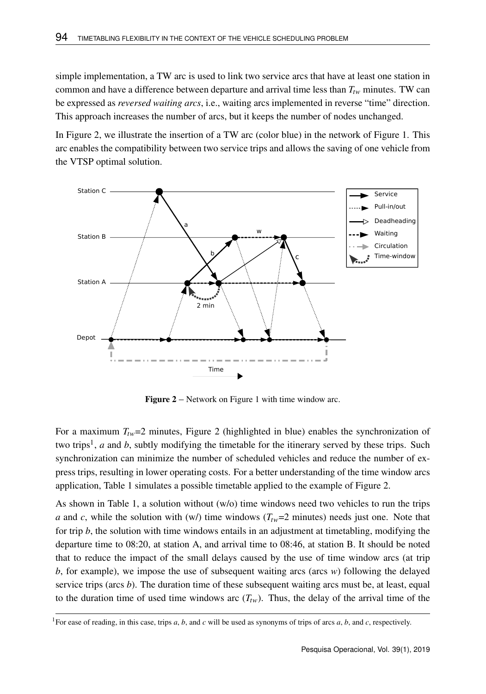simple implementation, a TW arc is used to link two service arcs that have at least one station in common and have a difference between departure and arrival time less than  $T_{tw}$  minutes. TW can be expressed as *reversed waiting arcs*, i.e., waiting arcs implemented in reverse "time" direction. This approach increases the number of arcs, but it keeps the number of nodes unchanged.

In Figure 2, we illustrate the insertion of a TW arc (color blue) in the network of Figure 1. This arc enables the compatibility between two service trips and allows the saving of one vehicle from the VTSP optimal solution.



Figure 2 – Network on Figure 1 with time window arc.

For a maximum  $T_{Iw}=2$  minutes, Figure 2 (highlighted in blue) enables the synchronization of two trips<sup>1</sup>, *a* and *b*, subtly modifying the timetable for the itinerary served by these trips. Such synchronization can minimize the number of scheduled vehicles and reduce the number of express trips, resulting in lower operating costs. For a better understanding of the time window arcs application, Table 1 simulates a possible timetable applied to the example of Figure 2.

As shown in Table 1, a solution without (w/o) time windows need two vehicles to run the trips *a* and *c*, while the solution with (w/) time windows  $(T_{tw}=2 \text{ minutes})$  needs just one. Note that for trip *b*, the solution with time windows entails in an adjustment at timetabling, modifying the departure time to 08:20, at station A, and arrival time to 08:46, at station B. It should be noted that to reduce the impact of the small delays caused by the use of time window arcs (at trip *b*, for example), we impose the use of subsequent waiting arcs (arcs *w*) following the delayed service trips (arcs *b*). The duration time of these subsequent waiting arcs must be, at least, equal to the duration time of used time windows arc  $(T_{tw})$ . Thus, the delay of the arrival time of the

<sup>&</sup>lt;sup>1</sup>For ease of reading, in this case, trips *a*, *b*, and *c* will be used as synonyms of trips of arcs *a*, *b*, and *c*, respectively.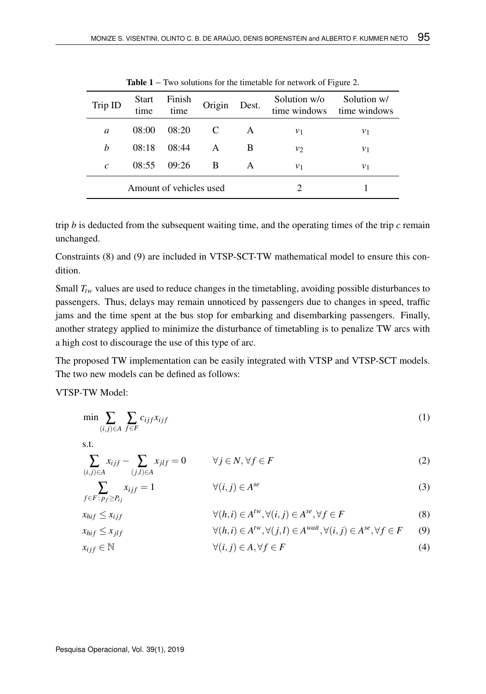| Trip ID       | <b>Start</b><br>time | Finish<br>time          | Origin | Dest. | Solution w/o<br>time windows | Solution w/<br>time windows |
|---------------|----------------------|-------------------------|--------|-------|------------------------------|-----------------------------|
| a             | 08:00                | 08:20                   | C      | A     | $v_1$                        | $v_1$                       |
| h             | 08:18                | 08:44                   | A      | B     | $v_{2}$                      | $v_1$                       |
| $\mathcal{C}$ | 08:55                | 09:26                   | B      | A     | $v_1$                        | $v_1$                       |
|               |                      | Amount of vehicles used |        |       |                              |                             |

**Table 1** – Two solutions for the timetable for network of Figure 2.

trip  $b$  is deducted from the subsequent waiting time, and the operating times of the trip  $c$  remain unchanged.

Constraints (8) and (9) are included in VTSP-SCT-TW mathematical model to ensure this condition.

Small  $T_{tw}$  values are used to reduce changes in the timetabling, avoiding possible disturbances to passengers. Thus, delays may remain unnoticed by passengers due to changes in speed, traffic jams and the time spent at the bus stop for embarking and disembarking passengers. Finally, another strategy applied to minimize the disturbance of timetabling is to penalize TW arcs with a high cost to discourage the use of this type of arc.

The proposed TW implementation can be easily integrated with VTSP and VTSP-SCT models. The two new models can be defined as follows:

VTSP-TW Model:

$$
\min \sum_{(i,j)\in A} \sum_{f\in F} c_{ijf} x_{ijf} \tag{1}
$$

s.t.

$$
\sum_{(i,j)\in A} x_{ijf} - \sum_{(j,l)\in A} x_{jlf} = 0 \qquad \forall j \in N, \forall f \in F
$$
\n(2)

$$
\sum_{f \in F \colon p_f \ge P_{ij}} x_{ijf} = 1 \qquad \forall (i, j) \in A^{se}
$$
 (3)

$$
x_{hif} \le x_{ijf} \qquad \forall (h,i) \in A^{tw}, \forall (i,j) \in A^{se}, \forall f \in F
$$
\n
$$
(8)
$$

$$
x_{hif} \le x_{jlf} \qquad \qquad \forall (h,i) \in A^{tw}, \forall (j,l) \in A^{wait}, \forall (i,j) \in A^{se}, \forall f \in F \qquad (9)
$$

$$
x_{ijf} \in \mathbb{N} \qquad \qquad \forall (i,j) \in A, \forall f \in F \tag{4}
$$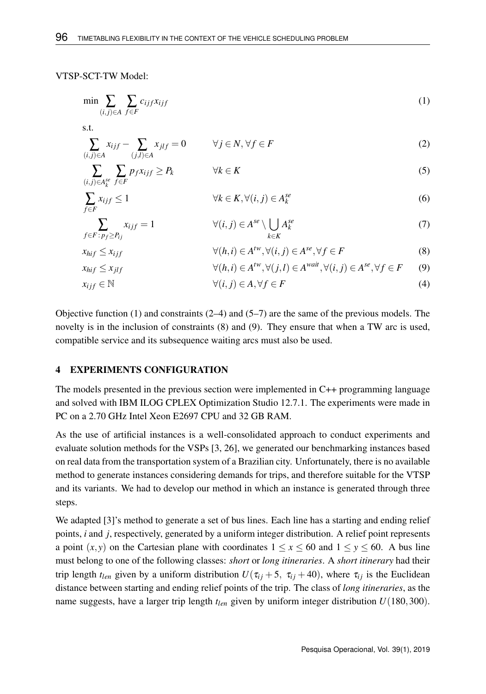#### VTSP-SCT-TW Model:

$$
\min \sum_{(i,j)\in A} \sum_{f\in F} c_{ijf} x_{ijf} \tag{1}
$$

s.t.

$$
\sum_{(i,j)\in A} x_{ijf} - \sum_{(j,l)\in A} x_{jlf} = 0 \qquad \forall j \in N, \forall f \in F
$$
\n(2)

$$
\sum_{(i,j)\in A_k^{se}} \sum_{f\in F} p_f x_{ijf} \ge P_k \qquad \forall k \in K
$$
\n(5)

$$
\sum_{f \in F} x_{ijf} \le 1 \qquad \forall k \in K, \forall (i, j) \in A_k^{se}
$$
 (6)

$$
\sum_{f \in F : p_f \ge P_{ij}} x_{ijf} = 1 \qquad \forall (i, j) \in A^{se} \setminus \bigcup_{k \in K} A_k^{se} \tag{7}
$$

$$
x_{hif} \le x_{ijf} \qquad \qquad \forall (h,i) \in A^{tw}, \forall (i,j) \in A^{se}, \forall f \in F \qquad \qquad (8)
$$

$$
x_{hif} \le x_{jlf} \qquad \qquad \forall (h,i) \in A^{tw}, \forall (j,l) \in A^{wait}, \forall (i,j) \in A^{se}, \forall f \in F \qquad (9)
$$

$$
x_{ijf} \in \mathbb{N} \qquad \qquad \forall (i,j) \in A, \forall f \in F \tag{4}
$$

Objective function (1) and constraints  $(2-4)$  and  $(5-7)$  are the same of the previous models. The novelty is in the inclusion of constraints (8) and (9). They ensure that when a TW arc is used, compatible service and its subsequence waiting arcs must also be used.

## 4 EXPERIMENTS CONFIGURATION

The models presented in the previous section were implemented in C++ programming language and solved with IBM ILOG CPLEX Optimization Studio 12.7.1. The experiments were made in PC on a 2.70 GHz Intel Xeon E2697 CPU and 32 GB RAM.

As the use of artificial instances is a well-consolidated approach to conduct experiments and evaluate solution methods for the VSPs [3, 26], we generated our benchmarking instances based on real data from the transportation system of a Brazilian city. Unfortunately, there is no available method to generate instances considering demands for trips, and therefore suitable for the VTSP and its variants. We had to develop our method in which an instance is generated through three steps.

We adapted [3]'s method to generate a set of bus lines. Each line has a starting and ending relief points, *i* and *j*, respectively, generated by a uniform integer distribution. A relief point represents a point  $(x, y)$  on the Cartesian plane with coordinates  $1 \le x \le 60$  and  $1 \le y \le 60$ . A bus line must belong to one of the following classes: *short* or *long itineraries*. A *short itinerary* had their trip length  $t_{len}$  given by a uniform distribution  $U(\tau_{ij} + 5, \tau_{ij} + 40)$ , where  $\tau_{ij}$  is the Euclidean distance between starting and ending relief points of the trip. The class of *long itineraries*, as the name suggests, have a larger trip length *tlen* given by uniform integer distribution *U*(180,300).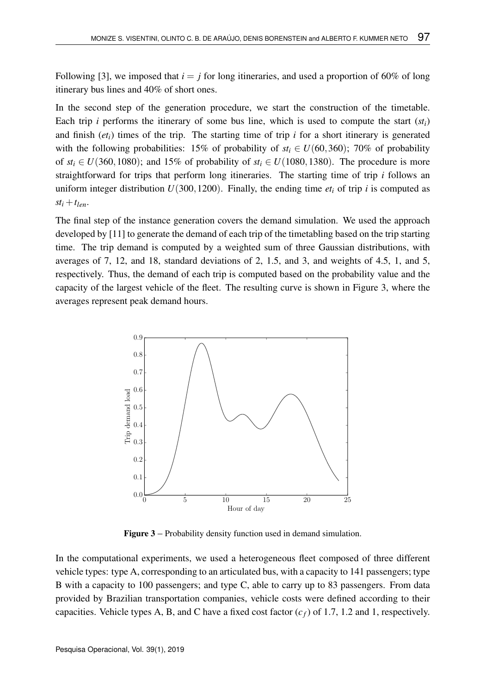Following [3], we imposed that  $i = j$  for long itineraries, and used a proportion of 60% of long itinerary bus lines and 40% of short ones.

In the second step of the generation procedure, we start the construction of the timetable. Each trip *i* performs the itinerary of some bus line, which is used to compute the start  $(st<sub>i</sub>)$ and finish  $(e_t)$  times of the trip. The starting time of trip  $i$  for a short itinerary is generated with the following probabilities: 15% of probability of  $st_i \in U(60,360)$ ; 70% of probability of  $st_i \in U(360,1080)$ ; and 15% of probability of  $st_i \in U(1080,1380)$ . The procedure is more straightforward for trips that perform long itineraries. The starting time of trip *i* follows an uniform integer distribution  $U(300,1200)$ . Finally, the ending time  $et_i$  of trip *i* is computed as  $st_i + t_{len}$ .

The final step of the instance generation covers the demand simulation. We used the approach developed by [11] to generate the demand of each trip of the timetabling based on the trip starting time. The trip demand is computed by a weighted sum of three Gaussian distributions, with averages of 7, 12, and 18, standard deviations of 2, 1.5, and 3, and weights of 4.5, 1, and 5, respectively. Thus, the demand of each trip is computed based on the probability value and the capacity of the largest vehicle of the fleet. The resulting curve is shown in Figure 3, where the averages represent peak demand hours.



Figure 3 – Probability density function used in demand simulation.

In the computational experiments, we used a heterogeneous fleet composed of three different vehicle types: type A, corresponding to an articulated bus, with a capacity to 141 passengers; type B with a capacity to 100 passengers; and type C, able to carry up to 83 passengers. From data provided by Brazilian transportation companies, vehicle costs were defined according to their capacities. Vehicle types A, B, and C have a fixed cost factor  $(c_f)$  of 1.7, 1.2 and 1, respectively.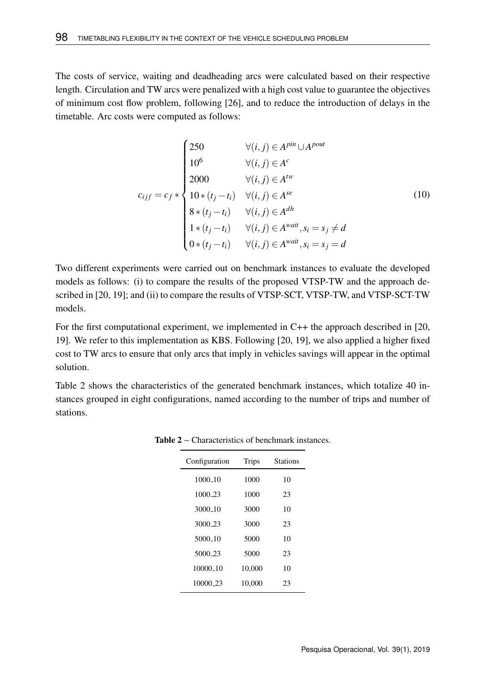The costs of service, waiting and deadheading arcs were calculated based on their respective length. Circulation and TW arcs were penalized with a high cost value to guarantee the objectives of minimum cost flow problem, following [26], and to reduce the introduction of delays in the timetable. Arc costs were computed as follows:

$$
c_{ijf} = c_f * \begin{cases} 250 & \forall (i, j) \in A^{pin} \cup A^{pour} \\ 10^6 & \forall (i, j) \in A^c \\ 2000 & \forall (i, j) \in A^{fw} \\ 10*(t_j - t_i) & \forall (i, j) \in A^{se} \\ 8*(t_j - t_i) & \forall (i, j) \in A^{dh} \\ 1*(t_j - t_i) & \forall (i, j) \in A^{wait}, s_i = s_j \neq d \\ 0*(t_j - t_i) & \forall (i, j) \in A^{wait}, s_i = s_j = d \end{cases}
$$
(10)

Two different experiments were carried out on benchmark instances to evaluate the developed models as follows: (i) to compare the results of the proposed VTSP-TW and the approach described in [20, 19]; and (ii) to compare the results of VTSP-SCT, VTSP-TW, and VTSP-SCT-TW models.

For the first computational experiment, we implemented in C++ the approach described in [20, 19]. We refer to this implementation as KBS. Following [20, 19], we also applied a higher fixed cost to TW arcs to ensure that only arcs that imply in vehicles savings will appear in the optimal solution.

Table 2 shows the characteristics of the generated benchmark instances, which totalize 40 instances grouped in eight configurations, named according to the number of trips and number of stations.

| Configuration       | Trips  | Stations |
|---------------------|--------|----------|
| 1000.10             | 1000   | 10       |
| 1000 <sub>-23</sub> | 1000   | 23       |
| 3000 <sub>-10</sub> | 3000   | 10       |
| 3000 23             | 3000   | 23       |
| 5000 10             | 5000   | 10       |
| 5000 23             | 5000   | 23       |
| 10000 10            | 10.000 | 10       |
| 10000 23            | 10.000 | 23       |

Table 2 – Characteristics of benchmark instances.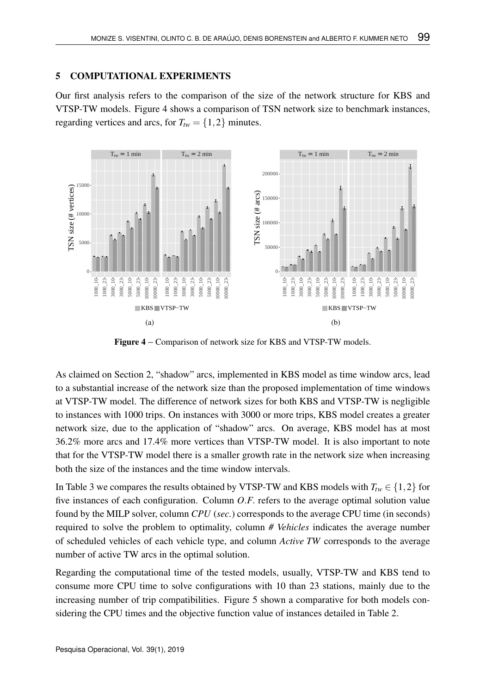# 5 COMPUTATIONAL EXPERIMENTS

Our first analysis refers to the comparison of the size of the network structure for KBS and VTSP-TW models. Figure 4 shows a comparison of TSN network size to benchmark instances, regarding vertices and arcs, for  $T_{tw} = \{1, 2\}$  minutes.



Figure 4 – Comparison of network size for KBS and VTSP-TW models.

As claimed on Section 2, "shadow" arcs, implemented in KBS model as time window arcs, lead to a substantial increase of the network size than the proposed implementation of time windows at VTSP-TW model. The difference of network sizes for both KBS and VTSP-TW is negligible to instances with 1000 trips. On instances with 3000 or more trips, KBS model creates a greater network size, due to the application of "shadow" arcs. On average, KBS model has at most 36.2% more arcs and 17.4% more vertices than VTSP-TW model. It is also important to note that for the VTSP-TW model there is a smaller growth rate in the network size when increasing both the size of the instances and the time window intervals.

In Table 3 we compares the results obtained by VTSP-TW and KBS models with  $T_{tw} \in \{1,2\}$  for five instances of each configuration. Column *O*.*F*. refers to the average optimal solution value found by the MILP solver, column *CPU* (*sec.*) corresponds to the average CPU time (in seconds) required to solve the problem to optimality, column *# Vehicles* indicates the average number of scheduled vehicles of each vehicle type, and column *Active TW* corresponds to the average number of active TW arcs in the optimal solution.

Regarding the computational time of the tested models, usually, VTSP-TW and KBS tend to consume more CPU time to solve configurations with 10 than 23 stations, mainly due to the increasing number of trip compatibilities. Figure 5 shown a comparative for both models considering the CPU times and the objective function value of instances detailed in Table 2.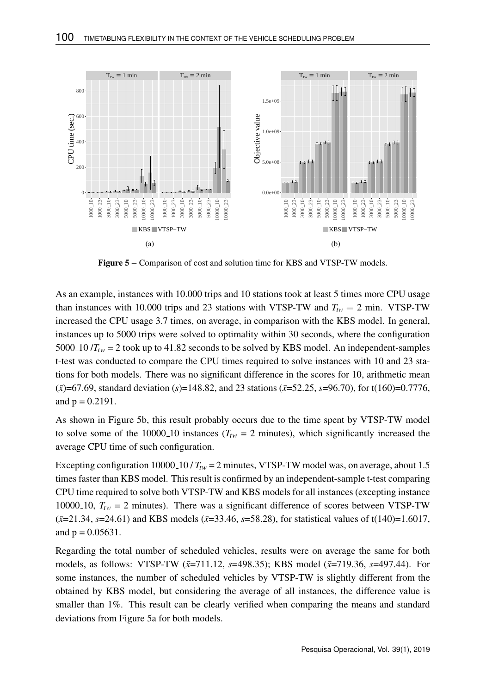

Figure 5 – Comparison of cost and solution time for KBS and VTSP-TW models.

As an example, instances with 10.000 trips and 10 stations took at least 5 times more CPU usage than instances with 10.000 trips and 23 stations with VTSP-TW and  $T_{tw} = 2$  min. VTSP-TW increased the CPU usage 3.7 times, on average, in comparison with the KBS model. In general, instances up to 5000 trips were solved to optimality within 30 seconds, where the configuration 5000<sub>-10</sub> / $T_{\text{rw}}$  = 2 took up to 41.82 seconds to be solved by KBS model. An independent-samples t-test was conducted to compare the CPU times required to solve instances with 10 and 23 stations for both models. There was no significant difference in the scores for 10, arithmetic mean  $(\bar{x})$ =67.69, standard deviation (*s*)=148.82, and 23 stations ( $\bar{x}$ =52.25, *s*=96.70), for t(160)=0.7776, and  $p = 0.2191$ .

As shown in Figure 5b, this result probably occurs due to the time spent by VTSP-TW model to solve some of the 10000<sub>-10</sub> instances ( $T_{tw}$  = 2 minutes), which significantly increased the average CPU time of such configuration.

Excepting configuration 10000 10 /  $T_{tw}$  = 2 minutes, VTSP-TW model was, on average, about 1.5 times faster than KBS model. This result is confirmed by an independent-sample t-test comparing CPU time required to solve both VTSP-TW and KBS models for all instances (excepting instance 10000<sub>-10</sub>,  $T_{tw}$  = 2 minutes). There was a significant difference of scores between VTSP-TW  $(\bar{x}=21.34, \, \bar{s}=24.61)$  and KBS models ( $\bar{x}=33.46, \, \bar{s}=58.28$ ), for statistical values of t(140)=1.6017, and  $p = 0.05631$ .

Regarding the total number of scheduled vehicles, results were on average the same for both models, as follows: VTSP-TW ( $\bar{x}$ =711.12, *s*=498.35); KBS model ( $\bar{x}$ =719.36, *s*=497.44). For some instances, the number of scheduled vehicles by VTSP-TW is slightly different from the obtained by KBS model, but considering the average of all instances, the difference value is smaller than 1%. This result can be clearly verified when comparing the means and standard deviations from Figure 5a for both models.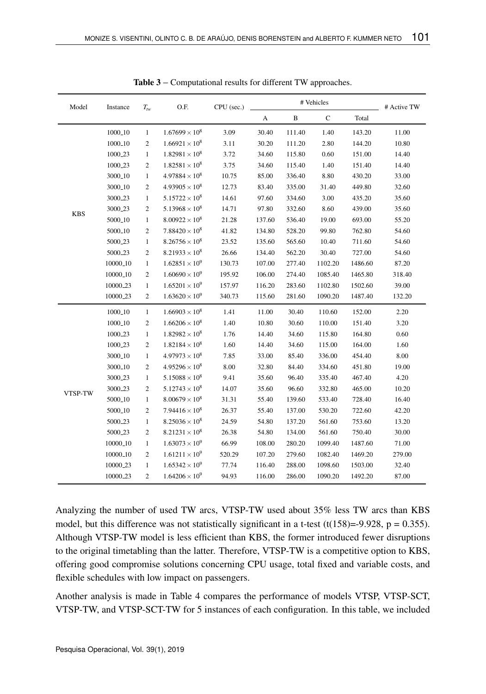| Model      | Instance             | $T_{tw}$         | O.F.                    | CPU (sec.) |        | # Active TW  |             |         |        |
|------------|----------------------|------------------|-------------------------|------------|--------|--------------|-------------|---------|--------|
|            |                      |                  |                         |            | A      | $\, {\bf B}$ | $\mathbf C$ | Total   |        |
|            | 1000 <sub>-10</sub>  | $\mathbf{1}$     | $1.67699 \times 10^{8}$ | 3.09       | 30.40  | 111.40       | 1.40        | 143.20  | 11.00  |
|            | 1000 <sub>-10</sub>  | $\boldsymbol{2}$ | $1.66921 \times 10^8$   | 3.11       | 30.20  | 111.20       | 2.80        | 144.20  | 10.80  |
|            | 1000 <sub>-23</sub>  | 1                | $1.82981 \times 10^{8}$ | 3.72       | 34.60  | 115.80       | 0.60        | 151.00  | 14.40  |
|            | 1000 <sub>-23</sub>  | $\mathfrak{2}$   | $1.82581 \times 10^8$   | 3.75       | 34.60  | 115.40       | 1.40        | 151.40  | 14.40  |
|            | 3000 <sub>-10</sub>  | 1                | $4.97884 \times 10^8$   | 10.75      | 85.00  | 336.40       | 8.80        | 430.20  | 33.00  |
|            | 3000 <sub>-10</sub>  | $\mathfrak{2}$   | $4.93905 \times 10^8$   | 12.73      | 83.40  | 335.00       | 31.40       | 449.80  | 32.60  |
|            | 3000 <sub>-23</sub>  | 1                | $5.15722 \times 10^8$   | 14.61      | 97.60  | 334.60       | 3.00        | 435.20  | 35.60  |
| <b>KBS</b> | 3000 <sub>-23</sub>  | $\mathfrak{2}$   | $5.13968 \times 10^8$   | 14.71      | 97.80  | 332.60       | 8.60        | 439.00  | 35.60  |
|            | 5000 <sub>-10</sub>  | 1                | $8.00922 \times 10^8$   | 21.28      | 137.60 | 536.40       | 19.00       | 693.00  | 55.20  |
|            | 5000 <sub>-10</sub>  | $\mathfrak{2}$   | $7.88420 \times 10^8$   | 41.82      | 134.80 | 528.20       | 99.80       | 762.80  | 54.60  |
|            | 5000 <sub>-23</sub>  | 1                | $8.26756 \times 10^8$   | 23.52      | 135.60 | 565.60       | 10.40       | 711.60  | 54.60  |
|            | 5000 <sub>-23</sub>  | $\mathfrak{2}$   | $8.21933 \times 10^8$   | 26.66      | 134.40 | 562.20       | 30.40       | 727.00  | 54.60  |
|            | 10000 <sub>-10</sub> | 1                | $1.62851 \times 10^{9}$ | 130.73     | 107.00 | 277.40       | 1102.20     | 1486.60 | 87.20  |
|            | 10000 <sub>-10</sub> | $\mathfrak{2}$   | $1.60690 \times 10^9$   | 195.92     | 106.00 | 274.40       | 1085.40     | 1465.80 | 318.40 |
|            | 10000 <sub>-23</sub> | $\mathbf{1}$     | $1.65201 \times 10^{9}$ | 157.97     | 116.20 | 283.60       | 1102.80     | 1502.60 | 39.00  |
|            | 10000 <sub>-23</sub> | $\mathfrak{2}$   | $1.63620 \times 10^9$   | 340.73     | 115.60 | 281.60       | 1090.20     | 1487.40 | 132.20 |
|            | 1000 <sub>-10</sub>  | $\mathbf{1}$     | $1.66903 \times 10^8$   | 1.41       | 11.00  | 30.40        | 110.60      | 152.00  | 2.20   |
|            | 1000 <sub>-10</sub>  | $\boldsymbol{2}$ | $1.66206 \times 10^8$   | 1.40       | 10.80  | 30.60        | 110.00      | 151.40  | 3.20   |
|            | 1000 <sub>-23</sub>  | 1                | $1.82982 \times 10^8$   | 1.76       | 14.40  | 34.60        | 115.80      | 164.80  | 0.60   |
|            | 1000 <sub>-23</sub>  | $\boldsymbol{2}$ | $1.82184 \times 10^8$   | 1.60       | 14.40  | 34.60        | 115.00      | 164.00  | 1.60   |
|            | 3000 <sub>-10</sub>  | $\mathbf{1}$     | $4.97973 \times 10^8$   | 7.85       | 33.00  | 85.40        | 336.00      | 454.40  | 8.00   |
|            | 3000 <sub>-10</sub>  | $\mathfrak{2}$   | $4.95296 \times 10^8$   | 8.00       | 32.80  | 84.40        | 334.60      | 451.80  | 19.00  |
|            | 3000 <sub>-23</sub>  | $\mathbf{1}$     | $5.15088 \times 10^8$   | 9.41       | 35.60  | 96.40        | 335.40      | 467.40  | 4.20   |
| VTSP-TW    | 3000 <sub>-23</sub>  | $\mathfrak{2}$   | $5.12743 \times 10^8$   | 14.07      | 35.60  | 96.60        | 332.80      | 465.00  | 10.20  |
|            | 5000 <sub>-10</sub>  | 1                | $8.00679 \times 10^8$   | 31.31      | 55.40  | 139.60       | 533.40      | 728.40  | 16.40  |
|            | 5000 <sub>-10</sub>  | $\mathfrak{2}$   | $7.94416 \times 10^8$   | 26.37      | 55.40  | 137.00       | 530.20      | 722.60  | 42.20  |
|            | 5000 <sub>-23</sub>  | $\mathbf{1}$     | $8.25036 \times 10^8$   | 24.59      | 54.80  | 137.20       | 561.60      | 753.60  | 13.20  |
|            | 5000 <sub>-23</sub>  | $\mathfrak{2}$   | $8.21231 \times 10^8$   | 26.38      | 54.80  | 134.00       | 561.60      | 750.40  | 30.00  |
|            | 10000 <sub>-10</sub> | 1                | $1.63073 \times 10^9$   | 66.99      | 108.00 | 280.20       | 1099.40     | 1487.60 | 71.00  |
|            | 10000 <sub>-10</sub> | $\overline{c}$   | $1.61211 \times 10^{9}$ | 520.29     | 107.20 | 279.60       | 1082.40     | 1469.20 | 279.00 |
|            | 10000 <sub>-23</sub> | 1                | $1.65342 \times 10^9$   | 77.74      | 116.40 | 288.00       | 1098.60     | 1503.00 | 32.40  |
|            | 10000 <sub>-23</sub> | $\overline{c}$   | $1.64206 \times 10^{9}$ | 94.93      | 116.00 | 286.00       | 1090.20     | 1492.20 | 87.00  |

Table 3 – Computational results for different TW approaches.

Analyzing the number of used TW arcs, VTSP-TW used about 35% less TW arcs than KBS model, but this difference was not statistically significant in a t-test (t(158)=-9.928,  $p = 0.355$ ). Although VTSP-TW model is less efficient than KBS, the former introduced fewer disruptions to the original timetabling than the latter. Therefore, VTSP-TW is a competitive option to KBS, offering good compromise solutions concerning CPU usage, total fixed and variable costs, and flexible schedules with low impact on passengers.

Another analysis is made in Table 4 compares the performance of models VTSP, VTSP-SCT, VTSP-TW, and VTSP-SCT-TW for 5 instances of each configuration. In this table, we included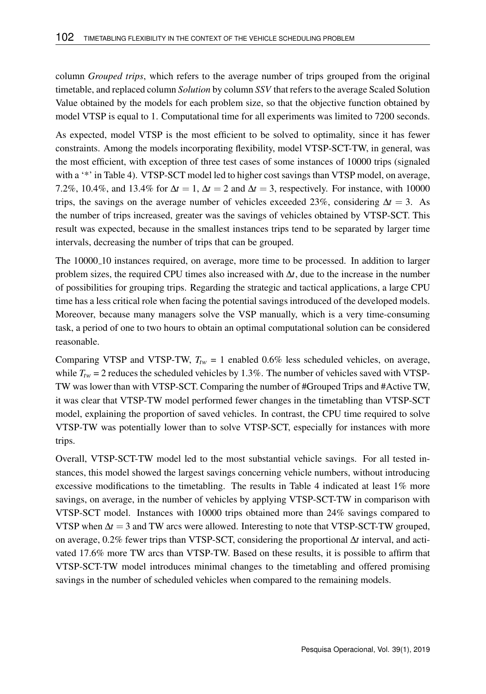column *Grouped trips*, which refers to the average number of trips grouped from the original timetable, and replaced column *Solution* by column *SSV* that refers to the average Scaled Solution Value obtained by the models for each problem size, so that the objective function obtained by model VTSP is equal to 1. Computational time for all experiments was limited to 7200 seconds.

As expected, model VTSP is the most efficient to be solved to optimality, since it has fewer constraints. Among the models incorporating flexibility, model VTSP-SCT-TW, in general, was the most efficient, with exception of three test cases of some instances of 10000 trips (signaled with a '\*' in Table 4). VTSP-SCT model led to higher cost savings than VTSP model, on average, 7.2%, 10.4%, and 13.4% for  $\Delta t = 1$ ,  $\Delta t = 2$  and  $\Delta t = 3$ , respectively. For instance, with 10000 trips, the savings on the average number of vehicles exceeded 23%, considering ∆*t* = 3. As the number of trips increased, greater was the savings of vehicles obtained by VTSP-SCT. This result was expected, because in the smallest instances trips tend to be separated by larger time intervals, decreasing the number of trips that can be grouped.

The 10000<sub>-10</sub> instances required, on average, more time to be processed. In addition to larger problem sizes, the required CPU times also increased with ∆*t*, due to the increase in the number of possibilities for grouping trips. Regarding the strategic and tactical applications, a large CPU time has a less critical role when facing the potential savings introduced of the developed models. Moreover, because many managers solve the VSP manually, which is a very time-consuming task, a period of one to two hours to obtain an optimal computational solution can be considered reasonable.

Comparing VTSP and VTSP-TW,  $T_{tw} = 1$  enabled 0.6% less scheduled vehicles, on average, while  $T_{tw} = 2$  reduces the scheduled vehicles by 1.3%. The number of vehicles saved with VTSP-TW was lower than with VTSP-SCT. Comparing the number of #Grouped Trips and #Active TW, it was clear that VTSP-TW model performed fewer changes in the timetabling than VTSP-SCT model, explaining the proportion of saved vehicles. In contrast, the CPU time required to solve VTSP-TW was potentially lower than to solve VTSP-SCT, especially for instances with more trips.

Overall, VTSP-SCT-TW model led to the most substantial vehicle savings. For all tested instances, this model showed the largest savings concerning vehicle numbers, without introducing excessive modifications to the timetabling. The results in Table 4 indicated at least 1% more savings, on average, in the number of vehicles by applying VTSP-SCT-TW in comparison with VTSP-SCT model. Instances with 10000 trips obtained more than 24% savings compared to VTSP when ∆*t* = 3 and TW arcs were allowed. Interesting to note that VTSP-SCT-TW grouped, on average, 0.2% fewer trips than VTSP-SCT, considering the proportional ∆*t* interval, and activated 17.6% more TW arcs than VTSP-TW. Based on these results, it is possible to affirm that VTSP-SCT-TW model introduces minimal changes to the timetabling and offered promising savings in the number of scheduled vehicles when compared to the remaining models.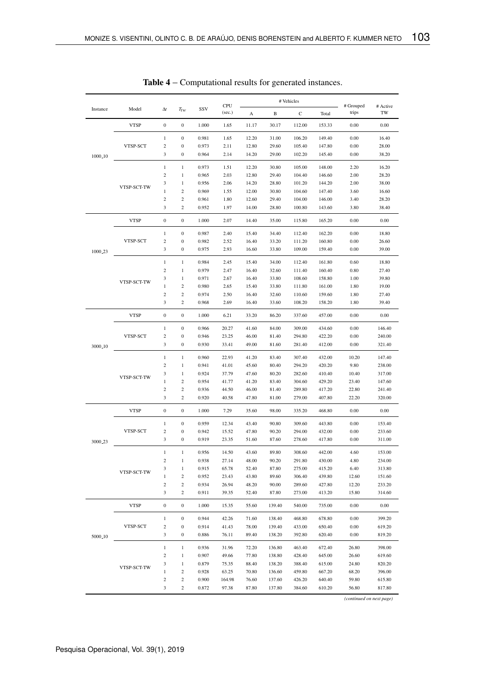|                     | Model       | $\Lambda t$              | $T_{tW}$         | SSV   | CPU    |              | # Vehicles   | $-$ # Grouped | # Active |          |          |
|---------------------|-------------|--------------------------|------------------|-------|--------|--------------|--------------|---------------|----------|----------|----------|
| Instance            |             |                          |                  |       | (sec.) | $\mathbf{A}$ | $\, {\bf B}$ | $\mathbf C$   | Total    | trips    | TW       |
|                     | <b>VTSP</b> | $\Omega$                 | $\Omega$         | 1.000 | 1.65   | 11.17        | 30.17        | 112.00        | 153.33   | 0.00     | 0.00     |
|                     |             | $\,$ 1 $\,$              | $\boldsymbol{0}$ | 0.981 | 1.65   | 12.20        | 31.00        | 106.20        | 149.40   | 0.00     | 16.40    |
|                     | VTSP-SCT    | $\overline{2}$           | $\mathbf{0}$     | 0.973 | 2.11   | 12.80        | 29.60        | 105.40        | 147.80   | 0.00     | 28.00    |
| 1000 <sub>-10</sub> |             | $\overline{\mathbf{3}}$  | $\Omega$         | 0.964 | 2.14   | 14.20        | 29.00        | 102.20        | 145.40   | 0.00     | 38.20    |
|                     |             | $\,$ 1 $\,$              | $\mathbf{1}$     | 0.973 | 1.51   | 12.20        | 30.80        | 105.00        | 148.00   | 2.20     | 16.20    |
|                     | VTSP-SCT-TW | $\mathfrak{D}$           | $\,1$            | 0.965 | 2.03   | 12.80        | 29.40        | 104.40        | 146.60   | 2.00     | 28.20    |
|                     |             | 3                        | $\mathbf{1}$     | 0.956 | 2.06   | 14.20        | 28.80        | 101.20        | 144.20   | 2.00     | 38.00    |
|                     |             | $\mathbf{1}$             | $\overline{2}$   | 0.969 | 1.55   | 12.00        | 30.80        | 104.60        | 147.40   | 3.60     | 16.60    |
|                     |             | $\,2\,$                  | $\overline{2}$   | 0.961 | 1.80   | 12.60        | 29.40        | 104.00        | 146.00   | 3.40     | 28.20    |
|                     |             | 3                        | $\mathfrak{D}$   | 0.952 | 1.97   | 14.00        | 28.80        | 100.80        | 143.60   | 3.80     | 38.40    |
|                     | <b>VTSP</b> | $\bf{0}$                 | $\boldsymbol{0}$ | 1.000 | 2.07   | 14.40        | 35.00        | 115.80        | 165.20   | 0.00     | 0.00     |
|                     |             | $\mathbf{1}$             | $\mathbf{0}$     | 0.987 | 2.40   | 15.40        | 34.40        | 112.40        | 162.20   | 0.00     | 18.80    |
|                     | VTSP-SCT    | $\,2\,$                  | $\boldsymbol{0}$ | 0.982 | 2.52   | 16.40        | 33.20        | 111.20        | 160.80   | 0.00     | 26.60    |
| 1000.23             |             | 3                        | $\mathbf{0}$     | 0.975 | 2.93   | 16.60        | 33.80        | 109.00        | 159.40   | 0.00     | 39.00    |
|                     |             | $\mathbf{1}$             | $\mathbf{1}$     | 0.984 | 2.45   | 15.40        | 34.00        | 112.40        | 161.80   | 0.60     | 18.80    |
|                     |             | $\overline{2}$           | $\mathbf{1}$     | 0.979 | 2.47   | 16.40        | 32.60        | 111.40        | 160.40   | 0.80     | 27.40    |
|                     |             | $\overline{\mathbf{3}}$  | $\mathbf{1}$     | 0.971 | 2.67   | 16.40        | 33.80        | 108.60        | 158.80   | 1.00     | 39.80    |
|                     | VTSP-SCT-TW | $\mathbf{1}$             | $\,2\,$          | 0.980 | 2.65   | 15.40        | 33.80        | 111.80        | 161.00   | 1.80     | 19.00    |
|                     |             | $\,2\,$                  | $\,2\,$          | 0.974 | 2.50   | 16.40        | 32.60        | 110.60        | 159.60   | 1.80     | 27.40    |
|                     |             | 3                        | $\,2$            | 0.968 | 2.69   | 16.40        | 33.60        | 108.20        | 158.20   | 1.80     | 39.40    |
|                     | <b>VTSP</b> | $\mathbf{0}$             | $\Omega$         | 1.000 | 6.21   | 33.20        | 86.20        | 337.60        | 457.00   | 0.00     | 0.00     |
|                     | VTSP-SCT    | $\mathbf{1}$             | $\Omega$         | 0.966 | 20.27  | 41.60        | 84.00        | 309.00        | 434.60   | 0.00     | 146.40   |
|                     |             | $\,2\,$                  | $\boldsymbol{0}$ | 0.946 | 23.25  | 46.00        | 81.40        | 294.80        | 422.20   | 0.00     | 240.00   |
| 3000 <sub>-10</sub> |             | 3                        | $\mathbf{0}$     | 0.930 | 33.41  | 49.00        | 81.60        | 281.40        | 412.00   | 0.00     | 321.40   |
|                     |             |                          |                  |       |        |              |              |               |          |          |          |
|                     |             | $\mathbf{1}$             | $\mathbf{1}$     | 0.960 | 22.93  | 41.20        | 83.40        | 307.40        | 432.00   | 10.20    | 147.40   |
|                     | VTSP-SCT-TW | $\,2\,$                  | $\mathbf{1}$     | 0.941 | 41.01  | 45.60        | 80.40        | 294.20        | 420.20   | 9.80     | 238.00   |
|                     |             | 3                        | $\mathbf{1}$     | 0.924 | 37.79  | 47.60        | 80.20        | 282.60        | 410.40   | 10.40    | 317.00   |
|                     |             | $\mathbf{1}$             | $\overline{2}$   | 0.954 | 41.77  | 41.20        | 83.40        | 304.60        | 429.20   | 23.40    | 147.60   |
|                     |             | $\overline{\mathcal{L}}$ | $\,2$            | 0.936 | 44.50  | 46.00        | 81.40        | 289.80        | 417.20   | 22.80    | 241.40   |
|                     |             | 3                        | $\overline{2}$   | 0.920 | 40.58  | 47.80        | 81.00        | 279.00        | 407.80   | 22.20    | 320.00   |
|                     | <b>VTSP</b> | $\Omega$                 | $\Omega$         | 1.000 | 7.29   | 35.60        | 98.00        | 335.20        | 468.80   | $0.00\,$ | 0.00     |
|                     |             | $\mathbf{1}$             | $\mathbf{0}$     | 0.959 | 12.34  | 43.40        | 90.80        | 309.60        | 443.80   | 0.00     | 153.40   |
|                     | VTSP-SCT    | $\overline{c}$           | $\Omega$         | 0.942 | 15.52  | 47.80        | 90.20        | 294.00        | 432.00   | 0.00     | 233.60   |
| 3000 <sub>-23</sub> |             | $\overline{\mathbf{3}}$  | $\Omega$         | 0.919 | 23.35  | 51.60        | 87.60        | 278.60        | 417.80   | 0.00     | 311.00   |
|                     |             | $\,1\,$                  | $\,1\,$          | 0.956 | 14.50  | 43.60        | 89.80        | 308.60        | 442.00   | 4.60     | 153.00   |
|                     |             | $\,2$                    | $\mathbf{1}$     | 0.938 | 27.14  | 48.00        | 90.20        | 291.80        | 430.00   | 4.80     | 234.00   |
|                     | VTSP-SCT-TW | 3                        | $\mathbf{1}$     | 0.915 | 65.78  | 52.40        | 87.80        | 275.00        | 415.20   | 6.40     | 313.80   |
|                     |             | $\mathbf{1}$             | $\overline{2}$   | 0.952 | 23.43  | 43.80        | 89.60        | 306.40        | 439.80   | 12.60    | 151.60   |
|                     |             | $\,2\,$                  | $\sqrt{2}$       | 0.934 | 26.94  | 48.20        | 90.00        | 289.60        | 427.80   | 12.20    | 233.20   |
|                     |             | 3                        | $\,2$            | 0.911 | 39.35  | 52.40        | 87.80        | 273.00        | 413.20   | 15.80    | 314.60   |
|                     | <b>VTSP</b> | $\mathbf{0}$             | $\mathbf{0}$     | 1.000 | 15.35  | 55.60        | 139.40       | 540.00        | 735.00   | 0.00     | $0.00\,$ |
|                     |             | $\mathbf{1}$             | $\Omega$         | 0.944 | 42.26  | 71.60        | 138.40       | 468.80        | 678.80   | 0.00     | 399.20   |
|                     | VTSP-SCT    | $\overline{c}$           | $\boldsymbol{0}$ | 0.914 | 41.43  | 78.00        | 139.40       | 433.00        | 650.40   | 0.00     | 619.20   |
| 5000 <sub>-10</sub> |             | 3                        | $\mathbf{0}$     | 0.886 | 76.11  | 89.40        | 138.20       | 392.80        | 620.40   | 0.00     | 819.20   |
|                     |             | $\mathbf{1}$             | $\mathbf{1}$     | 0.936 | 31.96  | 72.20        | 136.80       | 463.40        | 672.40   | 26.80    | 398.00   |
|                     |             | $\overline{2}$           | 1                | 0.907 | 49.66  | 77.80        | 138.80       | 428.40        | 645.00   | 26.60    | 619.60   |
|                     |             | 3                        | $\mathbf{1}$     | 0.879 | 75.35  | 88.40        | 138.20       | 388.40        | 615.00   | 24.80    | 820.20   |
|                     | VTSP-SCT-TW | $\,1\,$                  | $\,2\,$          | 0.928 | 63.25  | 70.80        | 136.60       | 459.80        | 667.20   | 68.20    | 396.00   |
|                     |             | $\overline{\mathbf{c}}$  | $\,2\,$          | 0.900 | 164.98 | 76.60        | 137.60       | 426.20        | 640.40   | 59.80    | 615.80   |
|                     |             | 3                        | $\overline{2}$   | 0.872 | 97.38  | 87.80        | 137.80       | 384.60        | 610.20   | 56.80    | 817.80   |
|                     |             |                          |                  |       |        |              |              |               |          |          |          |

Table 4 – Computational results for generated instances.

*(continued on next page)*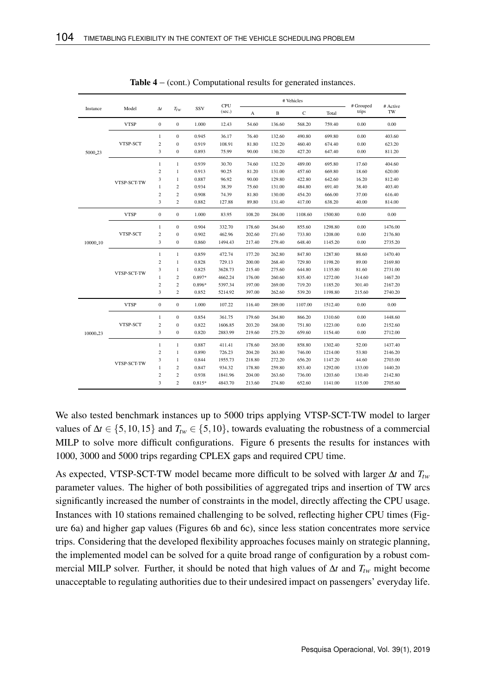|                      | Model       | $\Delta t$              | $T_{tw}$         | SSV      | CPU     | # Vehicles |        |              |         | # Grouped | # Active |
|----------------------|-------------|-------------------------|------------------|----------|---------|------------|--------|--------------|---------|-----------|----------|
| Instance             |             |                         |                  |          | (sec.)  | A          | B      | $\mathsf{C}$ | Total   | trips     | TW       |
|                      | <b>VTSP</b> | $\boldsymbol{0}$        | $\boldsymbol{0}$ | 1.000    | 12.43   | 54.60      | 136.60 | 568.20       | 759.40  | 0.00      | 0.00     |
|                      |             | $\mathbf{1}$            | $\mathbf{0}$     | 0.945    | 36.17   | 76.40      | 132.60 | 490.80       | 699.80  | 0.00      | 403.60   |
|                      | VTSP-SCT    | $\overline{c}$          | $\overline{0}$   | 0.919    | 108.91  | 81.80      | 132.20 | 460.40       | 674.40  | 0.00      | 623.20   |
| 5000.23              |             | 3                       | $\overline{0}$   | 0.893    | 75.99   | 90.00      | 130.20 | 427.20       | 647.40  | 0.00      | 811.20   |
|                      |             | $\mathbf{1}$            | $\mathbf{1}$     | 0.939    | 30.70   | 74.60      | 132.20 | 489.00       | 695.80  | 17.60     | 404.60   |
|                      |             | $\overline{c}$          | $\mathbf{1}$     | 0.913    | 90.25   | 81.20      | 131.00 | 457.60       | 669.80  | 18.60     | 620.00   |
|                      | VTSP-SCT-TW | 3                       | $\mathbf{1}$     | 0.887    | 96.92   | 90.00      | 129.80 | 422.80       | 642.60  | 16.20     | 812.40   |
|                      |             | 1                       | $\overline{c}$   | 0.934    | 38.39   | 75.60      | 131.00 | 484.80       | 691.40  | 38.40     | 403.40   |
|                      |             | $\overline{c}$          | $\overline{c}$   | 0.908    | 74.39   | 81.80      | 130.00 | 454.20       | 666.00  | 37.00     | 616.40   |
|                      |             | 3                       | $\overline{c}$   | 0.882    | 127.88  | 89.80      | 131.40 | 417.00       | 638.20  | 40.00     | 814.00   |
|                      | <b>VTSP</b> | $\mathbf{0}$            | $\mathbf{0}$     | 1.000    | 83.95   | 108.20     | 284.00 | 1108.60      | 1500.80 | 0.00      | 0.00     |
|                      |             | $\mathbf{1}$            | $\bf{0}$         | 0.904    | 332.70  | 178.60     | 264.60 | 855.60       | 1298.80 | 0.00      | 1476.00  |
|                      | VTSP-SCT    | $\overline{c}$          | $\bf{0}$         | 0.902    | 462.96  | 202.60     | 271.60 | 733.80       | 1208.00 | 0.00      | 2176.80  |
| 10000 <sub>-10</sub> |             | 3                       | $\overline{0}$   | 0.860    | 1494.43 | 217.40     | 279.40 | 648.40       | 1145.20 | 0.00      | 2735.20  |
|                      |             | $\mathbf{1}$            | $\mathbf{1}$     | 0.859    | 472.74  | 177.20     | 262.80 | 847.80       | 1287.80 | 88.60     | 1470.40  |
|                      | VTSP-SCT-TW | $\overline{c}$          | $\mathbf{1}$     | 0.828    | 729.13  | 200.00     | 268.40 | 729.80       | 1198.20 | 89.00     | 2169.80  |
|                      |             | 3                       | $\mathbf{1}$     | 0.825    | 3628.73 | 215.40     | 275.60 | 644.80       | 1135.80 | 81.60     | 2731.00  |
|                      |             | $\mathbf{1}$            | $\overline{c}$   | 0.897*   | 4662.24 | 176.00     | 260.60 | 835.40       | 1272.00 | 314.60    | 1467.20  |
|                      |             | $\overline{\mathbf{c}}$ | $\overline{c}$   | 0.896*   | 5397.34 | 197.00     | 269.00 | 719.20       | 1185.20 | 301.40    | 2167.20  |
|                      |             | 3                       | $\overline{c}$   | 0.852    | 5214.92 | 397.00     | 262.60 | 539.20       | 1198.80 | 215.60    | 2740.20  |
|                      | <b>VTSP</b> | $\mathbf{0}$            | $\mathbf{0}$     | 1.000    | 107.22  | 116.40     | 289.00 | 1107.00      | 1512.40 | 0.00      | 0.00     |
|                      |             | $\mathbf{1}$            | $\bf{0}$         | 0.854    | 361.75  | 179.60     | 264.80 | 866.20       | 1310.60 | 0.00      | 1448.60  |
|                      | VTSP-SCT    | $\overline{c}$          | $\overline{0}$   | 0.822    | 1606.85 | 203.20     | 268.00 | 751.80       | 1223.00 | 0.00      | 2152.60  |
| 10000 <sub>-23</sub> |             | 3                       | $\bf{0}$         | 0.820    | 2883.99 | 219.60     | 275.20 | 659.60       | 1154.40 | 0.00      | 2712.00  |
|                      | VTSP-SCT-TW | $\mathbf{1}$            | $\mathbf{1}$     | 0.887    | 411.41  | 178.60     | 265.00 | 858.80       | 1302.40 | 52.00     | 1437.40  |
|                      |             | $\overline{c}$          | $\mathbf{1}$     | 0.890    | 726.23  | 204.20     | 263.80 | 746.00       | 1214.00 | 53.80     | 2146.20  |
|                      |             | 3                       | $\mathbf{1}$     | 0.844    | 1955.73 | 218.80     | 272.20 | 656.20       | 1147.20 | 44.60     | 2703.00  |
|                      |             | 1                       | $\overline{c}$   | 0.847    | 934.32  | 178.80     | 259.80 | 853.40       | 1292.00 | 133.00    | 1440.20  |
|                      |             | $\overline{c}$          | $\overline{c}$   | 0.938    | 1841.96 | 204.00     | 263.60 | 736.00       | 1203.60 | 130.40    | 2142.80  |
|                      |             | 3                       | $\overline{c}$   | $0.815*$ | 4843.70 | 213.60     | 274.80 | 652.60       | 1141.00 | 115.00    | 2705.60  |

Table 4 – (cont.) Computational results for generated instances.

We also tested benchmark instances up to 5000 trips applying VTSP-SCT-TW model to larger values of  $\Delta t \in \{5, 10, 15\}$  and  $T_{tw} \in \{5, 10\}$ , towards evaluating the robustness of a commercial MILP to solve more difficult configurations. Figure 6 presents the results for instances with 1000, 3000 and 5000 trips regarding CPLEX gaps and required CPU time.

As expected, VTSP-SCT-TW model became more difficult to be solved with larger ∆*t* and *Ttw* parameter values. The higher of both possibilities of aggregated trips and insertion of TW arcs significantly increased the number of constraints in the model, directly affecting the CPU usage. Instances with 10 stations remained challenging to be solved, reflecting higher CPU times (Figure 6a) and higher gap values (Figures 6b and 6c), since less station concentrates more service trips. Considering that the developed flexibility approaches focuses mainly on strategic planning, the implemented model can be solved for a quite broad range of configuration by a robust commercial MILP solver. Further, it should be noted that high values of ∆*t* and *Ttw* might become unacceptable to regulating authorities due to their undesired impact on passengers' everyday life.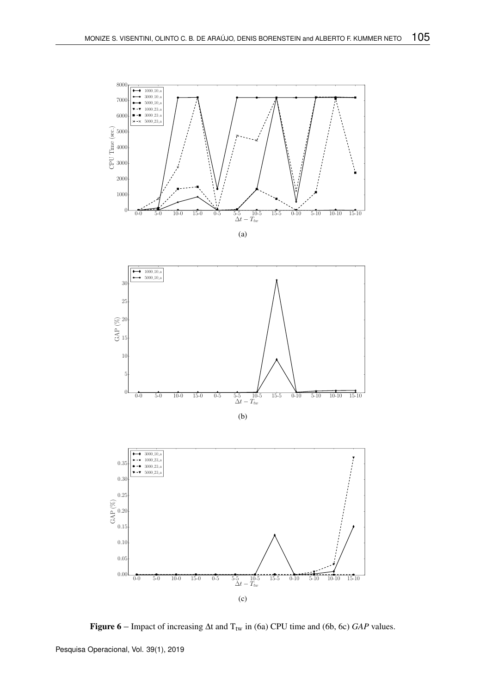



(b)



Figure 6 – Impact of increasing ∆t and T<sub>tw</sub> in (6a) CPU time and (6b, 6c) *GAP* values.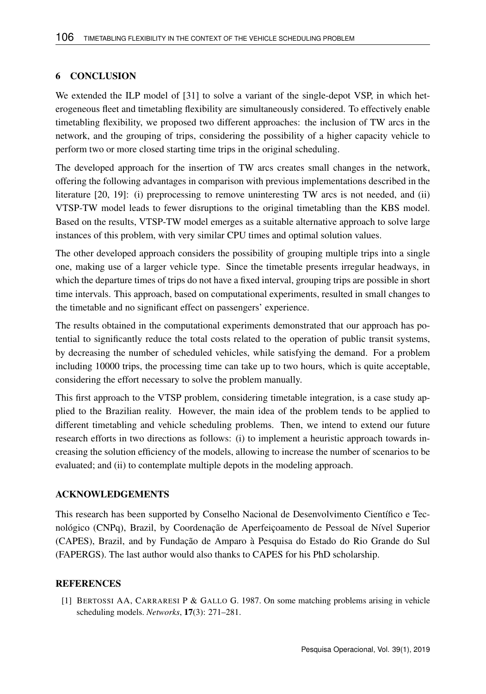#### 6 CONCLUSION

We extended the ILP model of [31] to solve a variant of the single-depot VSP, in which heterogeneous fleet and timetabling flexibility are simultaneously considered. To effectively enable timetabling flexibility, we proposed two different approaches: the inclusion of TW arcs in the network, and the grouping of trips, considering the possibility of a higher capacity vehicle to perform two or more closed starting time trips in the original scheduling.

The developed approach for the insertion of TW arcs creates small changes in the network, offering the following advantages in comparison with previous implementations described in the literature [20, 19]: (i) preprocessing to remove uninteresting TW arcs is not needed, and (ii) VTSP-TW model leads to fewer disruptions to the original timetabling than the KBS model. Based on the results, VTSP-TW model emerges as a suitable alternative approach to solve large instances of this problem, with very similar CPU times and optimal solution values.

The other developed approach considers the possibility of grouping multiple trips into a single one, making use of a larger vehicle type. Since the timetable presents irregular headways, in which the departure times of trips do not have a fixed interval, grouping trips are possible in short time intervals. This approach, based on computational experiments, resulted in small changes to the timetable and no significant effect on passengers' experience.

The results obtained in the computational experiments demonstrated that our approach has potential to significantly reduce the total costs related to the operation of public transit systems, by decreasing the number of scheduled vehicles, while satisfying the demand. For a problem including 10000 trips, the processing time can take up to two hours, which is quite acceptable, considering the effort necessary to solve the problem manually.

This first approach to the VTSP problem, considering timetable integration, is a case study applied to the Brazilian reality. However, the main idea of the problem tends to be applied to different timetabling and vehicle scheduling problems. Then, we intend to extend our future research efforts in two directions as follows: (i) to implement a heuristic approach towards increasing the solution efficiency of the models, allowing to increase the number of scenarios to be evaluated; and (ii) to contemplate multiple depots in the modeling approach.

#### ACKNOWLEDGEMENTS

This research has been supported by Conselho Nacional de Desenvolvimento Científico e Tecnológico (CNPq), Brazil, by Coordenação de Aperfeiçoamento de Pessoal de Nível Superior (CAPES), Brazil, and by Fundação de Amparo à Pesquisa do Estado do Rio Grande do Sul (FAPERGS). The last author would also thanks to CAPES for his PhD scholarship.

#### **REFERENCES**

[1] BERTOSSI AA, CARRARESI P & GALLO G. 1987. On some matching problems arising in vehicle scheduling models. *Networks*, 17(3): 271–281.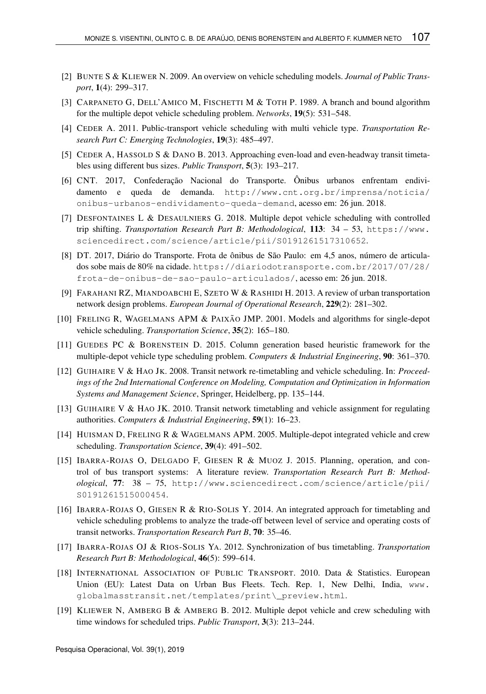- [2] BUNTE S & KLIEWER N. 2009. An overview on vehicle scheduling models. *Journal of Public Transport*, 1(4): 299–317.
- [3] CARPANETO G, DELL'AMICO M, FISCHETTI M & TOTH P. 1989. A branch and bound algorithm for the multiple depot vehicle scheduling problem. *Networks*, 19(5): 531–548.
- [4] CEDER A. 2011. Public-transport vehicle scheduling with multi vehicle type. *Transportation Research Part C: Emerging Technologies*, 19(3): 485–497.
- [5] CEDER A, HASSOLD S & DANO B. 2013. Approaching even-load and even-headway transit timetables using different bus sizes. *Public Transport*, 5(3): 193–217.
- [6] CNT. 2017, Confederação Nacional do Transporte. Ônibus urbanos enfrentam endividamento e queda de demanda. http://www.cnt.org.br/imprensa/noticia/ onibus-urbanos-endividamento-queda-demand, acesso em: 26 jun. 2018.
- [7] DESFONTAINES L & DESAULNIERS G. 2018. Multiple depot vehicle scheduling with controlled trip shifting. *Transportation Research Part B: Methodological*, 113: 34 – 53, https://www. sciencedirect.com/science/article/pii/S0191261517310652.
- [8] DT. 2017, Diário do Transporte. Frota de ônibus de São Paulo: em 4,5 anos, número de articulados sobe mais de 80% na cidade. https://diariodotransporte.com.br/2017/07/28/ frota-de-onibus-de-sao-paulo-articulados/, acesso em: 26 jun. 2018.
- [9] FARAHANI RZ, MIANDOABCHI E, SZETO W & RASHIDI H. 2013. A review of urban transportation network design problems. *European Journal of Operational Research*, 229(2): 281–302.
- [10] FRELING R, WAGELMANS APM & PAIXÃO JMP. 2001. Models and algorithms for single-depot vehicle scheduling. *Transportation Science*, 35(2): 165–180.
- [11] GUEDES PC & BORENSTEIN D. 2015. Column generation based heuristic framework for the multiple-depot vehicle type scheduling problem. *Computers & Industrial Engineering*, 90: 361–370.
- [12] GUIHAIRE V & HAO JK. 2008. Transit network re-timetabling and vehicle scheduling. In: *Proceedings of the 2nd International Conference on Modeling, Computation and Optimization in Information Systems and Management Science*, Springer, Heidelberg, pp. 135–144.
- [13] GUIHAIRE V & HAO JK. 2010. Transit network timetabling and vehicle assignment for regulating authorities. *Computers & Industrial Engineering*, 59(1): 16–23.
- [14] HUISMAN D, FRELING R & WAGELMANS APM. 2005. Multiple-depot integrated vehicle and crew scheduling. *Transportation Science*, 39(4): 491–502.
- [15] IBARRA-ROJAS O, DELGADO F, GIESEN R & MUOZ J. 2015. Planning, operation, and control of bus transport systems: A literature review. *Transportation Research Part B: Methodological*, 77: 38 – 75, http://www.sciencedirect.com/science/article/pii/ S0191261515000454.
- [16] IBARRA-ROJAS O, GIESEN R & RIO-SOLIS Y. 2014. An integrated approach for timetabling and vehicle scheduling problems to analyze the trade-off between level of service and operating costs of transit networks. *Transportation Research Part B*, 70: 35–46.
- [17] IBARRA-ROJAS OJ & RIOS-SOLIS YA. 2012. Synchronization of bus timetabling. *Transportation Research Part B: Methodological*, 46(5): 599–614.
- [18] INTERNATIONAL ASSOCIATION OF PUBLIC TRANSPORT. 2010. Data & Statistics. European Union (EU): Latest Data on Urban Bus Fleets. Tech. Rep. 1, New Delhi, India, www. globalmasstransit.net/templates/print\\_preview.html.
- [19] KLIEWER N, AMBERG B & AMBERG B. 2012. Multiple depot vehicle and crew scheduling with time windows for scheduled trips. *Public Transport*, 3(3): 213–244.